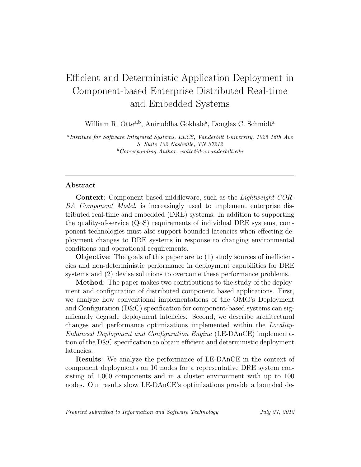# Efficient and Deterministic Application Deployment in Component-based Enterprise Distributed Real-time and Embedded Systems

William R. Otte<sup>a,b</sup>, Aniruddha Gokhale<sup>a</sup>, Douglas C. Schmidt<sup>a</sup>

a Institute for Software Integrated Systems, EECS, Vanderbilt University, 1025 16th Ave S, Suite 102 Nashville, TN 37212  $b$ <sup>b</sup>Corresponding Author, wotte@dre.vanderbilt.edu

# Abstract

Context: Component-based middleware, such as the *Lightweight COR-BA Component Model*, is increasingly used to implement enterprise distributed real-time and embedded (DRE) systems. In addition to supporting the quality-of-service (QoS) requirements of individual DRE systems, component technologies must also support bounded latencies when effecting deployment changes to DRE systems in response to changing environmental conditions and operational requirements.

Objective: The goals of this paper are to (1) study sources of inefficiencies and non-deterministic performance in deployment capabilities for DRE systems and (2) devise solutions to overcome these performance problems.

Method: The paper makes two contributions to the study of the deployment and configuration of distributed component based applications. First, we analyze how conventional implementations of the OMG's Deployment and Configuration (D&C) specification for component-based systems can significantly degrade deployment latencies. Second, we describe architectural changes and performance optimizations implemented within the *Locality-Enhanced Deployment and Configuration Engine* (LE-DAnCE) implementation of the D&C specification to obtain efficient and deterministic deployment latencies.

Results: We analyze the performance of LE-DAnCE in the context of component deployments on 10 nodes for a representative DRE system consisting of 1,000 components and in a cluster environment with up to 100 nodes. Our results show LE-DAnCE's optimizations provide a bounded de-

Preprint submitted to Information and Software Technology July 27, 2012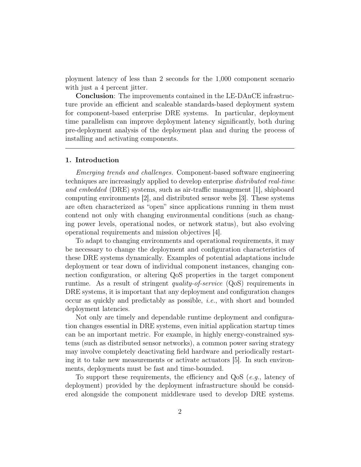ployment latency of less than 2 seconds for the 1,000 component scenario with just a 4 percent jitter.

Conclusion: The improvements contained in the LE-DAnCE infrastructure provide an efficient and scaleable standards-based deployment system for component-based enterprise DRE systems. In particular, deployment time parallelism can improve deployment latency significantly, both during pre-deployment analysis of the deployment plan and during the process of installing and activating components.

## 1. Introduction

*Emerging trends and challenges.* Component-based software engineering techniques are increasingly applied to develop enterprise *distributed real-time and embedded* (DRE) systems, such as air-traffic management [1], shipboard computing environments [2], and distributed sensor webs [3]. These systems are often characterized as "open" since applications running in them must contend not only with changing environmental conditions (such as changing power levels, operational nodes, or network status), but also evolving operational requirements and mission objectives [4].

To adapt to changing environments and operational requirements, it may be necessary to change the deployment and configuration characteristics of these DRE systems dynamically. Examples of potential adaptations include deployment or tear down of individual component instances, changing connection configuration, or altering QoS properties in the target component runtime. As a result of stringent *quality-of-service* (QoS) requirements in DRE systems, it is important that any deployment and configuration changes occur as quickly and predictably as possible, *i.e.*, with short and bounded deployment latencies.

Not only are timely and dependable runtime deployment and configuration changes essential in DRE systems, even initial application startup times can be an important metric. For example, in highly energy-constrained systems (such as distributed sensor networks), a common power saving strategy may involve completely deactivating field hardware and periodically restarting it to take new measurements or activate actuators [5]. In such environments, deployments must be fast and time-bounded.

To support these requirements, the efficiency and QoS (*e.g.*, latency of deployment) provided by the deployment infrastructure should be considered alongside the component middleware used to develop DRE systems.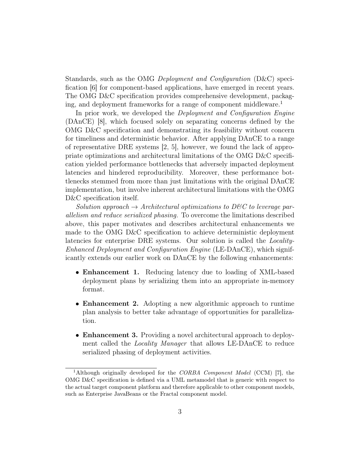Standards, such as the OMG *Deployment and Configuration* (D&C) specification [6] for component-based applications, have emerged in recent years. The OMG D&C specification provides comprehensive development, packaging, and deployment frameworks for a range of component middleware.<sup>1</sup>

In prior work, we developed the *Deployment and Configuration Engine* (DAnCE) [8], which focused solely on separating concerns defined by the OMG D&C specification and demonstrating its feasibility without concern for timeliness and deterministic behavior. After applying DAnCE to a range of representative DRE systems [2, 5], however, we found the lack of appropriate optimizations and architectural limitations of the OMG D&C specification yielded performance bottlenecks that adversely impacted deployment latencies and hindered reproducibility. Moreover, these performance bottlenecks stemmed from more than just limitations with the original DAnCE implementation, but involve inherent architectural limitations with the OMG D&C specification itself.

 $Solution$  approach  $\rightarrow$  *Architectural optimizations to D&C to leverage parallelism and reduce serialized phasing.* To overcome the limitations described above, this paper motivates and describes architectural enhancements we made to the OMG D&C specification to achieve deterministic deployment latencies for enterprise DRE systems. Our solution is called the *Locality-Enhanced Deployment and Configuration Engine* (LE-DAnCE), which significantly extends our earlier work on DAnCE by the following enhancements:

- Enhancement 1. Reducing latency due to loading of XML-based deployment plans by serializing them into an appropriate in-memory format.
- Enhancement 2. Adopting a new algorithmic approach to runtime plan analysis to better take advantage of opportunities for parallelization.
- Enhancement 3. Providing a novel architectural approach to deployment called the *Locality Manager* that allows LE-DAnCE to reduce serialized phasing of deployment activities.

<sup>&</sup>lt;sup>1</sup>Although originally developed for the *CORBA Component Model* (CCM) [7], the OMG D&C specification is defined via a UML metamodel that is generic with respect to the actual target component platform and therefore applicable to other component models, such as Enterprise JavaBeans or the Fractal component model.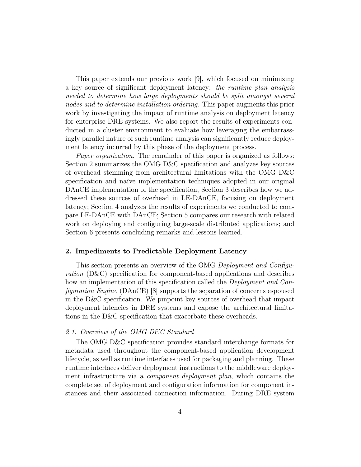This paper extends our previous work [9], which focused on minimizing a key source of significant deployment latency: *the runtime plan analysis needed to determine how large deployments should be split amongst several nodes and to determine installation ordering*. This paper augments this prior work by investigating the impact of runtime analysis on deployment latency for enterprise DRE systems. We also report the results of experiments conducted in a cluster environment to evaluate how leveraging the embarrassingly parallel nature of such runtime analysis can significantly reduce deployment latency incurred by this phase of the deployment process.

*Paper organization.* The remainder of this paper is organized as follows: Section 2 summarizes the OMG D&C specification and analyzes key sources of overhead stemming from architectural limitations with the OMG D&C specification and naïve implementation techniques adopted in our original DAnCE implementation of the specification; Section 3 describes how we addressed these sources of overhead in LE-DAnCE, focusing on deployment latency; Section 4 analyzes the results of experiments we conducted to compare LE-DAnCE with DAnCE; Section 5 compares our research with related work on deploying and configuring large-scale distributed applications; and Section 6 presents concluding remarks and lessons learned.

#### 2. Impediments to Predictable Deployment Latency

This section presents an overview of the OMG *Deployment and Configuration* (D&C) specification for component-based applications and describes how an implementation of this specification called the *Deployment and Configuration Engine* (DAnCE) [8] supports the separation of concerns espoused in the D&C specification. We pinpoint key sources of overhead that impact deployment latencies in DRE systems and expose the architectural limitations in the D&C specification that exacerbate these overheads.

# *2.1. Overview of the OMG D&C Standard*

The OMG D&C specification provides standard interchange formats for metadata used throughout the component-based application development lifecycle, as well as runtime interfaces used for packaging and planning. These runtime interfaces deliver deployment instructions to the middleware deployment infrastructure via a *component deployment plan*, which contains the complete set of deployment and configuration information for component instances and their associated connection information. During DRE system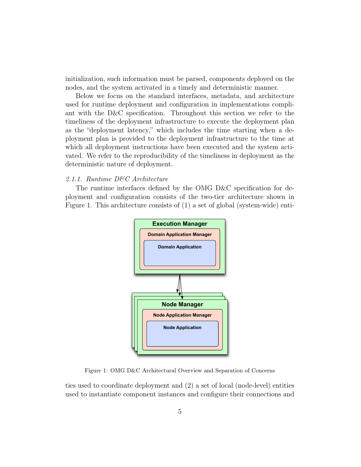initialization, such information must be parsed, components deployed on the nodes, and the system activated in a timely and deterministic manner.

Below we focus on the standard interfaces, metadata, and architecture used for runtime deployment and configuration in implementations compliant with the D&C specification. Throughout this section we refer to the timeliness of the deployment infrastructure to execute the deployment plan as the "deployment latency," which includes the time starting when a deployment plan is provided to the deployment infrastructure to the time at which all deployment instructions have been executed and the system activated. We refer to the reproducibility of the timeliness in deployment as the deterministic nature of deployment.

# *2.1.1. Runtime D&C Architecture*

The runtime interfaces defined by the OMG D&C specification for deployment and configuration consists of the two-tier architecture shown in Figure 1. This architecture consists of (1) a set of global (system-wide) enti-



Figure 1: OMG D&C Architectural Overview and Separation of Concerns

ties used to coordinate deployment and (2) a set of local (node-level) entities used to instantiate component instances and configure their connections and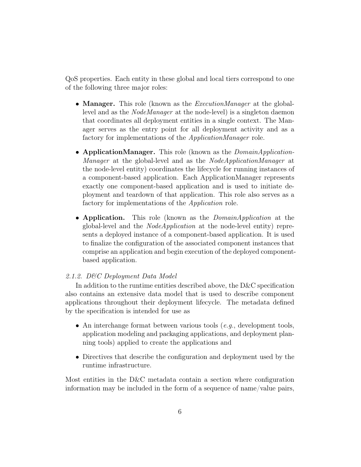QoS properties. Each entity in these global and local tiers correspond to one of the following three major roles:

- Manager. This role (known as the *ExecutionManager* at the globallevel and as the *NodeManager* at the node-level) is a singleton daemon that coordinates all deployment entities in a single context. The Manager serves as the entry point for all deployment activity and as a factory for implementations of the *ApplicationManager* role.
- ApplicationManager. This role (known as the *DomainApplication-Manager* at the global-level and as the *NodeApplicationManager* at the node-level entity) coordinates the lifecycle for running instances of a component-based application. Each ApplicationManager represents exactly one component-based application and is used to initiate deployment and teardown of that application. This role also serves as a factory for implementations of the *Application* role.
- Application. This role (known as the *DomainApplication* at the global-level and the *NodeApplication* at the node-level entity) represents a deployed instance of a component-based application. It is used to finalize the configuration of the associated component instances that comprise an application and begin execution of the deployed componentbased application.

# *2.1.2. D&C Deployment Data Model*

In addition to the runtime entities described above, the  $D\&C$  specification also contains an extensive data model that is used to describe component applications throughout their deployment lifecycle. The metadata defined by the specification is intended for use as

- An interchange format between various tools (*e.g.*, development tools, application modeling and packaging applications, and deployment planning tools) applied to create the applications and
- Directives that describe the configuration and deployment used by the runtime infrastructure.

Most entities in the D&C metadata contain a section where configuration information may be included in the form of a sequence of name/value pairs,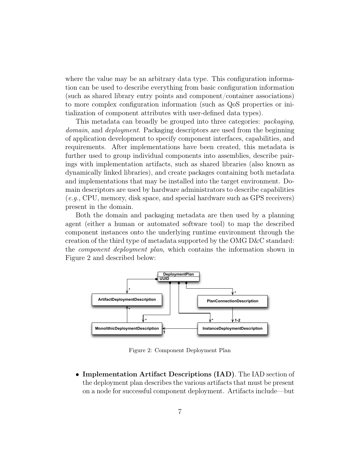where the value may be an arbitrary data type. This configuration information can be used to describe everything from basic configuration information (such as shared library entry points and component/container associations) to more complex configuration information (such as QoS properties or initialization of component attributes with user-defined data types).

This metadata can broadly be grouped into three categories: *packaging*, *domain*, and *deployment*. Packaging descriptors are used from the beginning of application development to specify component interfaces, capabilities, and requirements. After implementations have been created, this metadata is further used to group individual components into assemblies, describe pairings with implementation artifacts, such as shared libraries (also known as dynamically linked libraries), and create packages containing both metadata and implementations that may be installed into the target environment. Domain descriptors are used by hardware administrators to describe capabilities (*e.g.*, CPU, memory, disk space, and special hardware such as GPS receivers) present in the domain.

Both the domain and packaging metadata are then used by a planning agent (either a human or automated software tool) to map the described component instances onto the underlying runtime environment through the creation of the third type of metadata supported by the OMG D&C standard: the *component deployment plan*, which contains the information shown in Figure 2 and described below:



Figure 2: Component Deployment Plan

• Implementation Artifact Descriptions (IAD). The IAD section of the deployment plan describes the various artifacts that must be present on a node for successful component deployment. Artifacts include—but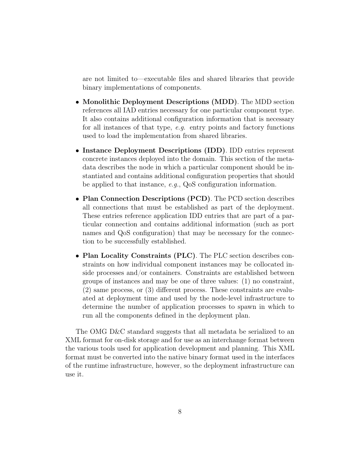are not limited to—executable files and shared libraries that provide binary implementations of components.

- Monolithic Deployment Descriptions (MDD). The MDD section references all IAD entries necessary for one particular component type. It also contains additional configuration information that is necessary for all instances of that type, *e.g.* entry points and factory functions used to load the implementation from shared libraries.
- Instance Deployment Descriptions (IDD). IDD entries represent concrete instances deployed into the domain. This section of the metadata describes the node in which a particular component should be instantiated and contains additional configuration properties that should be applied to that instance, *e.g.*, QoS configuration information.
- Plan Connection Descriptions (PCD). The PCD section describes all connections that must be established as part of the deployment. These entries reference application IDD entries that are part of a particular connection and contains additional information (such as port names and QoS configuration) that may be necessary for the connection to be successfully established.
- Plan Locality Constraints (PLC). The PLC section describes constraints on how individual component instances may be collocated inside processes and/or containers. Constraints are established between groups of instances and may be one of three values: (1) no constraint, (2) same process, or (3) different process. These constraints are evaluated at deployment time and used by the node-level infrastructure to determine the number of application processes to spawn in which to run all the components defined in the deployment plan.

The OMG D&C standard suggests that all metadata be serialized to an XML format for on-disk storage and for use as an interchange format between the various tools used for application development and planning. This XML format must be converted into the native binary format used in the interfaces of the runtime infrastructure, however, so the deployment infrastructure can use it.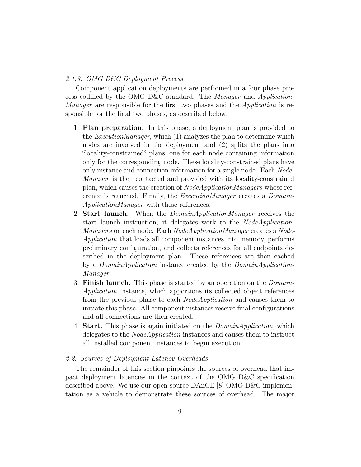## *2.1.3. OMG D&C Deployment Process*

Component application deployments are performed in a four phase process codified by the OMG D&C standard. The *Manager* and *Application-Manager* are responsible for the first two phases and the *Application* is responsible for the final two phases, as described below:

- 1. Plan preparation. In this phase, a deployment plan is provided to the *ExecutionManager*, which (1) analyzes the plan to determine which nodes are involved in the deployment and (2) splits the plans into "locality-constrained" plans, one for each node containing information only for the corresponding node. These locality-constrained plans have only instance and connection information for a single node. Each *Node-Manager* is then contacted and provided with its locality-constrained plan, which causes the creation of *NodeApplicationManagers* whose reference is returned. Finally, the *ExecutionManager* creates a *Domain-ApplicationManager* with these references.
- 2. Start launch. When the *DomainApplicationManager* receives the start launch instruction, it delegates work to the *NodeApplication-Managers* on each node. Each *NodeApplicationManager* creates a *Node-Application* that loads all component instances into memory, performs preliminary configuration, and collects references for all endpoints described in the deployment plan. These references are then cached by a *DomainApplication* instance created by the *DomainApplication-Manager*.
- 3. Finish launch. This phase is started by an operation on the *Domain-Application* instance, which apportions its collected object references from the previous phase to each *NodeApplication* and causes them to initiate this phase. All component instances receive final configurations and all connections are then created.
- 4. Start. This phase is again initiated on the *DomainApplication*, which delegates to the *NodeApplication* instances and causes them to instruct all installed component instances to begin execution.

#### *2.2. Sources of Deployment Latency Overheads*

The remainder of this section pinpoints the sources of overhead that impact deployment latencies in the context of the OMG D&C specification described above. We use our open-source DAnCE [8] OMG D&C implementation as a vehicle to demonstrate these sources of overhead. The major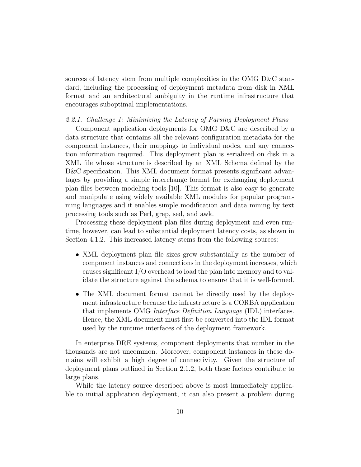sources of latency stem from multiple complexities in the OMG D&C standard, including the processing of deployment metadata from disk in XML format and an architectural ambiguity in the runtime infrastructure that encourages suboptimal implementations.

#### *2.2.1. Challenge 1: Minimizing the Latency of Parsing Deployment Plans*

Component application deployments for OMG D&C are described by a data structure that contains all the relevant configuration metadata for the component instances, their mappings to individual nodes, and any connection information required. This deployment plan is serialized on disk in a XML file whose structure is described by an XML Schema defined by the D&C specification. This XML document format presents significant advantages by providing a simple interchange format for exchanging deployment plan files between modeling tools [10]. This format is also easy to generate and manipulate using widely available XML modules for popular programming languages and it enables simple modification and data mining by text processing tools such as Perl, grep, sed, and awk.

Processing these deployment plan files during deployment and even runtime, however, can lead to substantial deployment latency costs, as shown in Section 4.1.2. This increased latency stems from the following sources:

- XML deployment plan file sizes grow substantially as the number of component instances and connections in the deployment increases, which causes significant I/O overhead to load the plan into memory and to validate the structure against the schema to ensure that it is well-formed.
- The XML document format cannot be directly used by the deployment infrastructure because the infrastructure is a CORBA application that implements OMG *Interface Definition Language* (IDL) interfaces. Hence, the XML document must first be converted into the IDL format used by the runtime interfaces of the deployment framework.

In enterprise DRE systems, component deployments that number in the thousands are not uncommon. Moreover, component instances in these domains will exhibit a high degree of connectivity. Given the structure of deployment plans outlined in Section 2.1.2, both these factors contribute to large plans.

While the latency source described above is most immediately applicable to initial application deployment, it can also present a problem during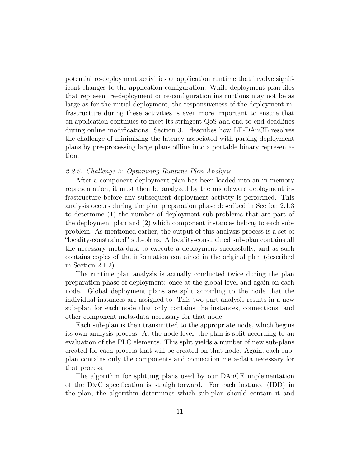potential re-deployment activities at application runtime that involve significant changes to the application configuration. While deployment plan files that represent re-deployment or re-configuration instructions may not be as large as for the initial deployment, the responsiveness of the deployment infrastructure during these activities is even more important to ensure that an application continues to meet its stringent QoS and end-to-end deadlines during online modifications. Section 3.1 describes how LE-DAnCE resolves the challenge of minimizing the latency associated with parsing deployment plans by pre-processing large plans offline into a portable binary representation.

#### *2.2.2. Challenge 2: Optimizing Runtime Plan Analysis*

After a component deployment plan has been loaded into an in-memory representation, it must then be analyzed by the middleware deployment infrastructure before any subsequent deployment activity is performed. This analysis occurs during the plan preparation phase described in Section 2.1.3 to determine (1) the number of deployment sub-problems that are part of the deployment plan and (2) which component instances belong to each subproblem. As mentioned earlier, the output of this analysis process is a set of "locality-constrained" sub-plans. A locality-constrained sub-plan contains all the necessary meta-data to execute a deployment successfully, and as such contains copies of the information contained in the original plan (described in Section 2.1.2).

The runtime plan analysis is actually conducted twice during the plan preparation phase of deployment: once at the global level and again on each node. Global deployment plans are split according to the node that the individual instances are assigned to. This two-part analysis results in a new sub-plan for each node that only contains the instances, connections, and other component meta-data necessary for that node.

Each sub-plan is then transmitted to the appropriate node, which begins its own analysis process. At the node level, the plan is split according to an evaluation of the PLC elements. This split yields a number of new sub-plans created for each process that will be created on that node. Again, each subplan contains only the components and connection meta-data necessary for that process.

The algorithm for splitting plans used by our DAnCE implementation of the D&C specification is straightforward. For each instance (IDD) in the plan, the algorithm determines which sub-plan should contain it and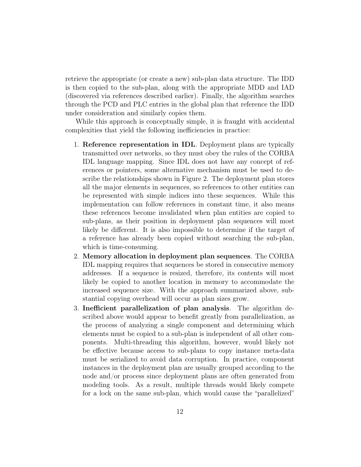retrieve the appropriate (or create a new) sub-plan data structure. The IDD is then copied to the sub-plan, along with the appropriate MDD and IAD (discovered via references described earlier). Finally, the algorithm searches through the PCD and PLC entries in the global plan that reference the IDD under consideration and similarly copies them.

While this approach is conceptually simple, it is fraught with accidental complexities that yield the following inefficiencies in practice:

- 1. Reference representation in IDL. Deployment plans are typically transmitted over networks, so they must obey the rules of the CORBA IDL language mapping. Since IDL does not have any concept of references or pointers, some alternative mechanism must be used to describe the relationships shown in Figure 2. The deployment plan stores all the major elements in sequences, so references to other entities can be represented with simple indices into these sequences. While this implementation can follow references in constant time, it also means these references become invalidated when plan entities are copied to sub-plans, as their position in deployment plan sequences will most likely be different. It is also impossible to determine if the target of a reference has already been copied without searching the sub-plan, which is time-consuming.
- 2. Memory allocation in deployment plan sequences. The CORBA IDL mapping requires that sequences be stored in consecutive memory addresses. If a sequence is resized, therefore, its contents will most likely be copied to another location in memory to accommodate the increased sequence size. With the approach summarized above, substantial copying overhead will occur as plan sizes grow.
- 3. Inefficient parallelization of plan analysis. The algorithm described above would appear to benefit greatly from parallelization, as the process of analyzing a single component and determining which elements must be copied to a sub-plan is independent of all other components. Multi-threading this algorithm, however, would likely not be effective because access to sub-plans to copy instance meta-data must be serialized to avoid data corruption. In practice, component instances in the deployment plan are usually grouped according to the node and/or process since deployment plans are often generated from modeling tools. As a result, multiple threads would likely compete for a lock on the same sub-plan, which would cause the "parallelized"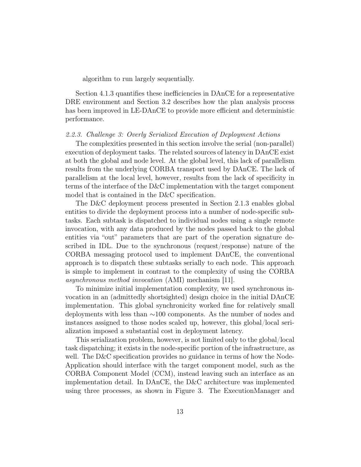algorithm to run largely sequentially.

Section 4.1.3 quantifies these inefficiencies in DAnCE for a representative DRE environment and Section 3.2 describes how the plan analysis process has been improved in LE-DAnCE to provide more efficient and deterministic performance.

#### *2.2.3. Challenge 3: Overly Serialized Execution of Deployment Actions*

The complexities presented in this section involve the serial (non-parallel) execution of deployment tasks. The related sources of latency in DAnCE exist at both the global and node level. At the global level, this lack of parallelism results from the underlying CORBA transport used by DAnCE. The lack of parallelism at the local level, however, results from the lack of specificity in terms of the interface of the D&C implementation with the target component model that is contained in the D&C specification.

The D&C deployment process presented in Section 2.1.3 enables global entities to divide the deployment process into a number of node-specific subtasks. Each subtask is dispatched to individual nodes using a single remote invocation, with any data produced by the nodes passed back to the global entities via "out" parameters that are part of the operation signature described in IDL. Due to the synchronous (request/response) nature of the CORBA messaging protocol used to implement DAnCE, the conventional approach is to dispatch these subtasks serially to each node. This approach is simple to implement in contrast to the complexity of using the CORBA *asynchronous method invocation* (AMI) mechanism [11].

To minimize initial implementation complexity, we used synchronous invocation in an (admittedly shortsighted) design choice in the initial DAnCE implementation. This global synchronicity worked fine for relatively small deployments with less than ∼100 components. As the number of nodes and instances assigned to those nodes scaled up, however, this global/local serialization imposed a substantial cost in deployment latency.

This serialization problem, however, is not limited only to the global/local task dispatching; it exists in the node-specific portion of the infrastructure, as well. The D&C specification provides no guidance in terms of how the Node-Application should interface with the target component model, such as the CORBA Component Model (CCM), instead leaving such an interface as an implementation detail. In DAnCE, the D&C architecture was implemented using three processes, as shown in Figure 3. The ExecutionManager and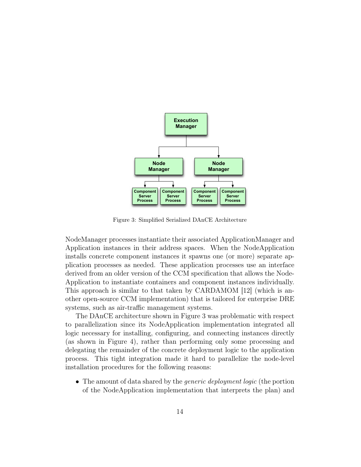

Figure 3: Simplified Serialized DAnCE Architecture

NodeManager processes instantiate their associated ApplicationManager and Application instances in their address spaces. When the NodeApplication installs concrete component instances it spawns one (or more) separate application processes as needed. These application processes use an interface derived from an older version of the CCM specification that allows the Node-Application to instantiate containers and component instances individually. This approach is similar to that taken by CARDAMOM [12] (which is another open-source CCM implementation) that is tailored for enterprise DRE systems, such as air-traffic management systems.

The DAnCE architecture shown in Figure 3 was problematic with respect to parallelization since its NodeApplication implementation integrated all logic necessary for installing, configuring, and connecting instances directly (as shown in Figure 4), rather than performing only some processing and delegating the remainder of the concrete deployment logic to the application process. This tight integration made it hard to parallelize the node-level installation procedures for the following reasons:

• The amount of data shared by the *generic deployment logic* (the portion of the NodeApplication implementation that interprets the plan) and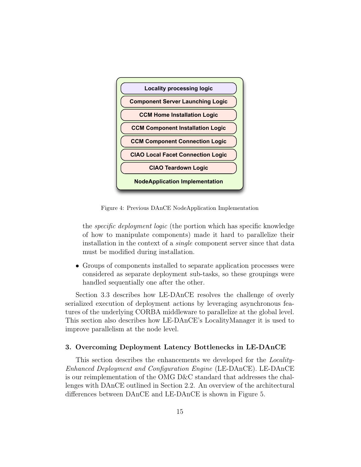

Figure 4: Previous DAnCE NodeApplication Implementation

the *specific deployment logic* (the portion which has specific knowledge of how to manipulate components) made it hard to parallelize their installation in the context of a *single* component server since that data must be modified during installation.

• Groups of components installed to separate application processes were considered as separate deployment sub-tasks, so these groupings were handled sequentially one after the other.

Section 3.3 describes how LE-DAnCE resolves the challenge of overly serialized execution of deployment actions by leveraging asynchronous features of the underlying CORBA middleware to parallelize at the global level. This section also describes how LE-DAnCE's LocalityManager it is used to improve parallelism at the node level.

# 3. Overcoming Deployment Latency Bottlenecks in LE-DAnCE

This section describes the enhancements we developed for the *Locality-Enhanced Deployment and Configuration Engine* (LE-DAnCE). LE-DAnCE is our reimplementation of the OMG D&C standard that addresses the challenges with DAnCE outlined in Section 2.2. An overview of the architectural differences between DAnCE and LE-DAnCE is shown in Figure 5.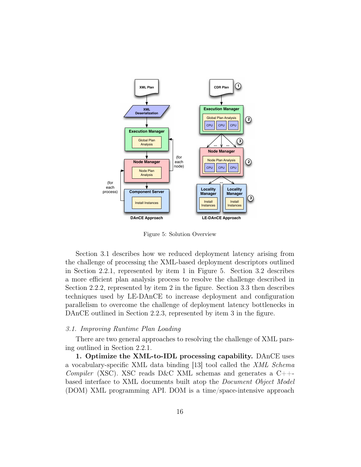

Figure 5: Solution Overview

Section 3.1 describes how we reduced deployment latency arising from the challenge of processing the XML-based deployment descriptors outlined in Section 2.2.1, represented by item 1 in Figure 5. Section 3.2 describes a more efficient plan analysis process to resolve the challenge described in Section 2.2.2, represented by item 2 in the figure. Section 3.3 then describes techniques used by LE-DAnCE to increase deployment and configuration parallelism to overcome the challenge of deployment latency bottlenecks in DAnCE outlined in Section 2.2.3, represented by item 3 in the figure.

## *3.1. Improving Runtime Plan Loading*

There are two general approaches to resolving the challenge of XML parsing outlined in Section 2.2.1.

1. Optimize the XML-to-IDL processing capability. DAnCE uses a vocabulary-specific XML data binding [13] tool called the *XML Schema Compiler* (XSC). XSC reads D&C XML schemas and generates a C++ based interface to XML documents built atop the *Document Object Model* (DOM) XML programming API. DOM is a time/space-intensive approach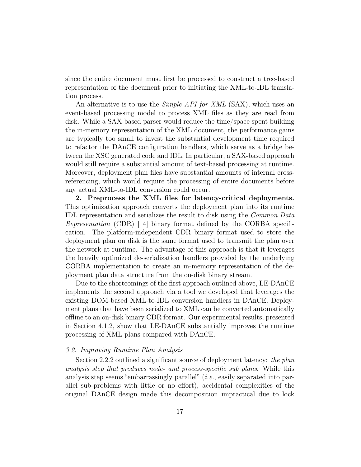since the entire document must first be processed to construct a tree-based representation of the document prior to initiating the XML-to-IDL translation process.

An alternative is to use the *Simple API for XML* (SAX), which uses an event-based processing model to process XML files as they are read from disk. While a SAX-based parser would reduce the time/space spent building the in-memory representation of the XML document, the performance gains are typically too small to invest the substantial development time required to refactor the DAnCE configuration handlers, which serve as a bridge between the XSC generated code and IDL. In particular, a SAX-based approach would still require a substantial amount of text-based processing at runtime. Moreover, deployment plan files have substantial amounts of internal crossreferencing, which would require the processing of entire documents before any actual XML-to-IDL conversion could occur.

2. Preprocess the XML files for latency-critical deployments. This optimization approach converts the deployment plan into its runtime IDL representation and serializes the result to disk using the *Common Data Representation* (CDR) [14] binary format defined by the CORBA specification. The platform-independent CDR binary format used to store the deployment plan on disk is the same format used to transmit the plan over the network at runtime. The advantage of this approach is that it leverages the heavily optimized de-serialization handlers provided by the underlying CORBA implementation to create an in-memory representation of the deployment plan data structure from the on-disk binary stream.

Due to the shortcomings of the first approach outlined above, LE-DAnCE implements the second approach via a tool we developed that leverages the existing DOM-based XML-to-IDL conversion handlers in DAnCE. Deployment plans that have been serialized to XML can be converted automatically offline to an on-disk binary CDR format. Our experimental results, presented in Section 4.1.2, show that LE-DAnCE substantially improves the runtime processing of XML plans compared with DAnCE.

#### *3.2. Improving Runtime Plan Analysis*

Section 2.2.2 outlined a significant source of deployment latency: *the plan analysis step that produces node- and process-specific sub plans*. While this analysis step seems "embarrassingly parallel" (*i.e.*, easily separated into parallel sub-problems with little or no effort), accidental complexities of the original DAnCE design made this decomposition impractical due to lock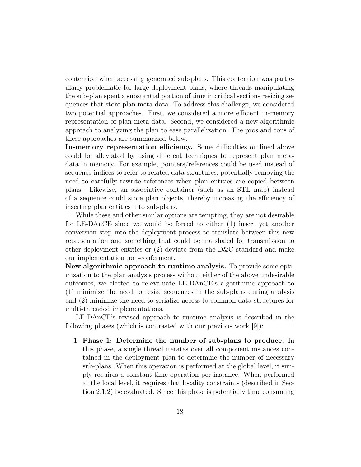contention when accessing generated sub-plans. This contention was particularly problematic for large deployment plans, where threads manipulating the sub-plan spent a substantial portion of time in critical sections resizing sequences that store plan meta-data. To address this challenge, we considered two potential approaches. First, we considered a more efficient in-memory representation of plan meta-data. Second, we considered a new algorithmic approach to analyzing the plan to ease parallelization. The pros and cons of these approaches are summarized below.

In-memory representation efficiency. Some difficulties outlined above could be alleviated by using different techniques to represent plan metadata in memory. For example, pointers/references could be used instead of sequence indices to refer to related data structures, potentially removing the need to carefully rewrite references when plan entities are copied between plans. Likewise, an associative container (such as an STL map) instead of a sequence could store plan objects, thereby increasing the efficiency of inserting plan entities into sub-plans.

While these and other similar options are tempting, they are not desirable for LE-DAnCE since we would be forced to either (1) insert yet another conversion step into the deployment process to translate between this new representation and something that could be marshaled for transmission to other deployment entities or (2) deviate from the D&C standard and make our implementation non-conferment.

New algorithmic approach to runtime analysis. To provide some optimization to the plan analysis process without either of the above undesirable outcomes, we elected to re-evaluate LE-DAnCE's algorithmic approach to (1) minimize the need to resize sequences in the sub-plans during analysis and (2) minimize the need to serialize access to common data structures for multi-threaded implementations.

LE-DAnCE's revised approach to runtime analysis is described in the following phases (which is contrasted with our previous work [9]):

1. Phase 1: Determine the number of sub-plans to produce. In this phase, a single thread iterates over all component instances contained in the deployment plan to determine the number of necessary sub-plans. When this operation is performed at the global level, it simply requires a constant time operation per instance. When performed at the local level, it requires that locality constraints (described in Section 2.1.2) be evaluated. Since this phase is potentially time consuming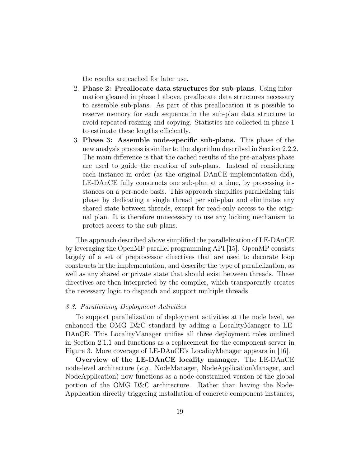the results are cached for later use.

- 2. Phase 2: Preallocate data structures for sub-plans. Using information gleaned in phase 1 above, preallocate data structures necessary to assemble sub-plans. As part of this preallocation it is possible to reserve memory for each sequence in the sub-plan data structure to avoid repeated resizing and copying. Statistics are collected in phase 1 to estimate these lengths efficiently.
- 3. Phase 3: Assemble node-specific sub-plans. This phase of the new analysis process is similar to the algorithm described in Section 2.2.2. The main difference is that the cached results of the pre-analysis phase are used to guide the creation of sub-plans. Instead of considering each instance in order (as the original DAnCE implementation did), LE-DAnCE fully constructs one sub-plan at a time, by processing instances on a per-node basis. This approach simplifies parallelizing this phase by dedicating a single thread per sub-plan and eliminates any shared state between threads, except for read-only access to the original plan. It is therefore unnecessary to use any locking mechanism to protect access to the sub-plans.

The approach described above simplified the parallelization of LE-DAnCE by leveraging the OpenMP parallel programming API [15]. OpenMP consists largely of a set of preprocessor directives that are used to decorate loop constructs in the implementation, and describe the type of parallelization, as well as any shared or private state that should exist between threads. These directives are then interpreted by the compiler, which transparently creates the necessary logic to dispatch and support multiple threads.

#### *3.3. Parallelizing Deployment Activities*

To support parallelization of deployment activities at the node level, we enhanced the OMG D&C standard by adding a LocalityManager to LE-DAnCE. This LocalityManager unifies all three deployment roles outlined in Section 2.1.1 and functions as a replacement for the component server in Figure 3. More coverage of LE-DAnCE's LocalityManager appears in [16].

Overview of the LE-DAnCE locality manager. The LE-DAnCE node-level architecture (*e.g.*, NodeManager, NodeApplicationManager, and NodeApplication) now functions as a node-constrained version of the global portion of the OMG D&C architecture. Rather than having the Node-Application directly triggering installation of concrete component instances,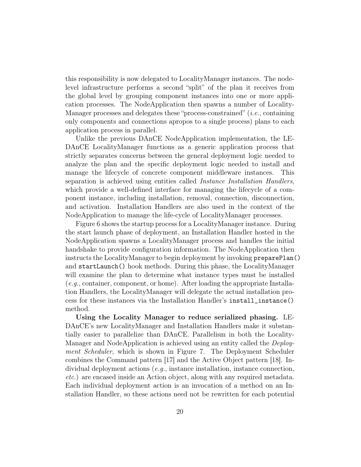this responsibility is now delegated to LocalityManager instances. The nodelevel infrastructure performs a second "split" of the plan it receives from the global level by grouping component instances into one or more application processes. The NodeApplication then spawns a number of Locality-Manager processes and delegates these "process-constrained" (*i.e.*, containing only components and connections apropos to a single process) plans to each application process in parallel.

Unlike the previous DAnCE NodeApplication implementation, the LE-DAnCE LocalityManager functions as a generic application process that strictly separates concerns between the general deployment logic needed to analyze the plan and the specific deployment logic needed to install and manage the lifecycle of concrete component middleware instances. This separation is achieved using entities called *Instance Installation Handlers*, which provide a well-defined interface for managing the lifecycle of a component instance, including installation, removal, connection, disconnection, and activation. Installation Handlers are also used in the context of the NodeApplication to manage the life-cycle of LocalityManager processes.

Figure 6 shows the startup process for a LocalityManager instance. During the start launch phase of deployment, an Installation Handler hosted in the NodeApplication spawns a LocalityManager process and handles the initial handshake to provide configuration information. The NodeApplication then instructs the LocalityManager to begin deployment by invoking preparePlan() and startLaunch() hook methods. During this phase, the LocalityManager will examine the plan to determine what instance types must be installed (*e.g.*, container, component, or home). After loading the appropriate Installation Handlers, the LocalityManager will delegate the actual installation process for these instances via the Installation Handler's install\_instance() method.

Using the Locality Manager to reduce serialized phasing. LE-DAnCE's new LocalityManager and Installation Handlers make it substantially easier to parallelize than DAnCE. Parallelism in both the Locality-Manager and NodeApplication is achieved using an entity called the *Deployment Scheduler*, which is shown in Figure 7. The Deployment Scheduler combines the Command pattern [17] and the Active Object pattern [18]. Individual deployment actions (*e.g.*, instance installation, instance connection, *etc.*) are encased inside an Action object, along with any required metadata. Each individual deployment action is an invocation of a method on an Installation Handler, so these actions need not be rewritten for each potential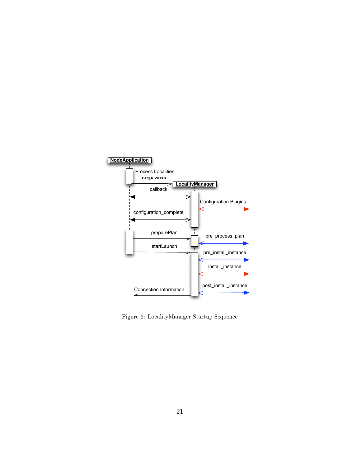

Figure 6: LocalityManager Startup Sequence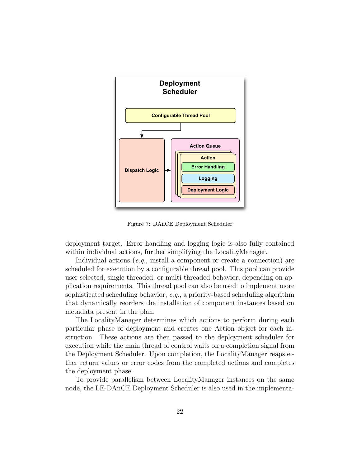

Figure 7: DAnCE Deployment Scheduler

deployment target. Error handling and logging logic is also fully contained within individual actions, further simplifying the LocalityManager.

Individual actions (*e.g.*, install a component or create a connection) are scheduled for execution by a configurable thread pool. This pool can provide user-selected, single-threaded, or multi-threaded behavior, depending on application requirements. This thread pool can also be used to implement more sophisticated scheduling behavior, *e.g.*, a priority-based scheduling algorithm that dynamically reorders the installation of component instances based on metadata present in the plan.

The LocalityManager determines which actions to perform during each particular phase of deployment and creates one Action object for each instruction. These actions are then passed to the deployment scheduler for execution while the main thread of control waits on a completion signal from the Deployment Scheduler. Upon completion, the LocalityManager reaps either return values or error codes from the completed actions and completes the deployment phase.

To provide parallelism between LocalityManager instances on the same node, the LE-DAnCE Deployment Scheduler is also used in the implementa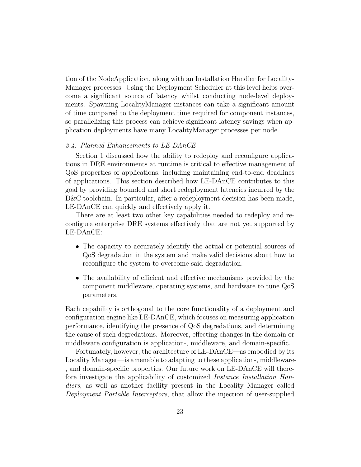tion of the NodeApplication, along with an Installation Handler for Locality-Manager processes. Using the Deployment Scheduler at this level helps overcome a significant source of latency whilst conducting node-level deployments. Spawning LocalityManager instances can take a significant amount of time compared to the deployment time required for component instances, so parallelizing this process can achieve significant latency savings when application deployments have many LocalityManager processes per node.

# *3.4. Planned Enhancements to LE-DAnCE*

Section 1 discussed how the ability to redeploy and reconfigure applications in DRE environments at runtime is critical to effective management of QoS properties of applications, including maintaining end-to-end deadlines of applications. This section described how LE-DAnCE contributes to this goal by providing bounded and short redeployment latencies incurred by the D&C toolchain. In particular, after a redeployment decision has been made, LE-DAnCE can quickly and effectively apply it.

There are at least two other key capabilities needed to redeploy and reconfigure enterprise DRE systems effectively that are not yet supported by LE-DAnCE:

- The capacity to accurately identify the actual or potential sources of QoS degradation in the system and make valid decisions about how to reconfigure the system to overcome said degradation.
- The availability of efficient and effective mechanisms provided by the component middleware, operating systems, and hardware to tune QoS parameters.

Each capability is orthogonal to the core functionality of a deployment and configuration engine like LE-DAnCE, which focuses on measuring application performance, identifying the presence of QoS degredations, and determining the cause of such degredations. Moreover, effecting changes in the domain or middleware configuration is application-, middleware, and domain-specific.

Fortunately, however, the architecture of LE-DAnCE—as embodied by its Locality Manager—is amenable to adapting to these application-, middleware- , and domain-specific properties. Our future work on LE-DAnCE will therefore investigate the applicability of customized *Instance Installation Handlers*, as well as another facility present in the Locality Manager called *Deployment Portable Interceptors*, that allow the injection of user-supplied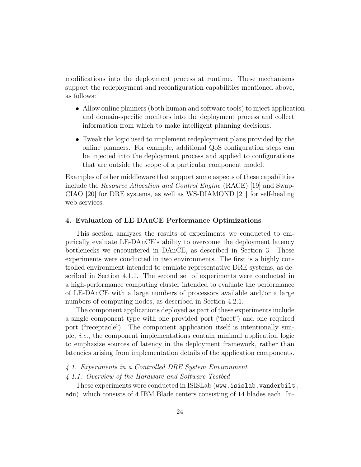modifications into the deployment process at runtime. These mechanisms support the redeployment and reconfiguration capabilities mentioned above, as follows:

- Allow online planners (both human and software tools) to inject applicationand domain-specific monitors into the deployment process and collect information from which to make intelligent planning decisions.
- Tweak the logic used to implement redeployment plans provided by the online planners. For example, additional QoS configuration steps can be injected into the deployment process and applied to configurations that are outside the scope of a particular component model.

Examples of other middleware that support some aspects of these capabilities include the *Resource Allocation and Control Engine* (RACE) [19] and Swap-CIAO [20] for DRE systems, as well as WS-DIAMOND [21] for self-healing web services.

#### 4. Evaluation of LE-DAnCE Performance Optimizations

This section analyzes the results of experiments we conducted to empirically evaluate LE-DAnCE's ability to overcome the deployment latency bottlenecks we encountered in DAnCE, as described in Section 3. These experiments were conducted in two environments. The first is a highly controlled environment intended to emulate representative DRE systems, as described in Section 4.1.1. The second set of experiments were conducted in a high-performance computing cluster intended to evaluate the performance of LE-DAnCE with a large numbers of processors available and/or a large numbers of computing nodes, as described in Section 4.2.1.

The component applications deployed as part of these experiments include a single component type with one provided port ("facet") and one required port ("receptacle"). The component application itself is intentionally simple, *i.e.*, the component implementations contain minimal application logic to emphasize sources of latency in the deployment framework, rather than latencies arising from implementation details of the application components.

# *4.1. Experiments in a Controlled DRE System Environment*

#### *4.1.1. Overview of the Hardware and Software Testbed*

These experiments were conducted in ISISLab (www.isislab.vanderbilt. edu), which consists of 4 IBM Blade centers consisting of 14 blades each. In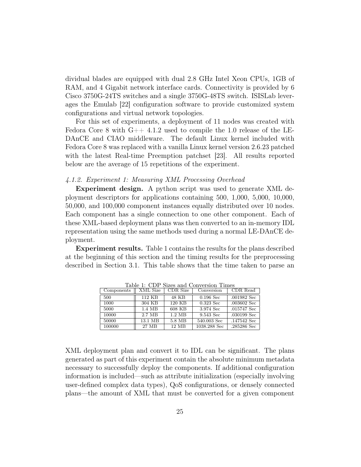dividual blades are equipped with dual 2.8 GHz Intel Xeon CPUs, 1GB of RAM, and 4 Gigabit network interface cards. Connectivity is provided by 6 Cisco 3750G-24TS switches and a single 3750G-48TS switch. ISISLab leverages the Emulab [22] configuration software to provide customized system configurations and virtual network topologies.

For this set of experiments, a deployment of 11 nodes was created with Fedora Core 8 with  $G++ 4.1.2$  used to compile the 1.0 release of the LE-DAnCE and CIAO middleware. The default Linux kernel included with Fedora Core 8 was replaced with a vanilla Linux kernel version 2.6.23 patched with the latest Real-time Preemption patchset [23]. All results reported below are the average of 15 repetitions of the experiment.

#### *4.1.2. Experiment 1: Measuring XML Processing Overhead*

Experiment design. A python script was used to generate XML deployment descriptors for applications containing 500, 1,000, 5,000, 10,000, 50,000, and 100,000 component instances equally distributed over 10 nodes. Each component has a single connection to one other component. Each of these XML-based deployment plans was then converted to an in-memory IDL representation using the same methods used during a normal LE-DAnCE deployment.

Experiment results. Table 1 contains the results for the plans described at the beginning of this section and the timing results for the preprocessing described in Section 3.1. This table shows that the time taken to parse an

| Components | XML Size | CDR Size | Conversion   | CDR Read      |
|------------|----------|----------|--------------|---------------|
| 500        | 112 KB   | 48 KB    | $0.196$ Sec  | $.001982$ Sec |
| 1000       | 304 KB   | 120 KB   | $0.323$ Sec  | $.003602$ Sec |
| 5000       | 1.4 MB   | 608 KB   | 3.974 Sec    | .015747 Sec   |
| 10000      | 2.7 MB   | $1.2$ MB | 9.543 Sec    | .030199 Sec   |
| 50000      | 13.1 MB  | 5.8 MB   | 540.003 Sec  | .147542 Sec   |
| 100000     | 27 MB    | 12 MB    | 1038.288 Sec | .285286 Sec   |

Table 1: CDP Sizes and Conversion Times

XML deployment plan and convert it to IDL can be significant. The plans generated as part of this experiment contain the absolute minimum metadata necessary to successfully deploy the components. If additional configuration information is included—such as attribute initialization (especially involving user-defined complex data types), QoS configurations, or densely connected plans—the amount of XML that must be converted for a given component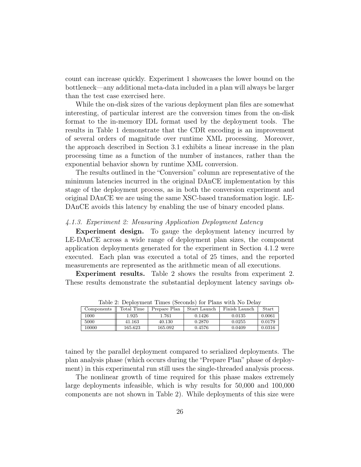count can increase quickly. Experiment 1 showcases the lower bound on the bottleneck—any additional meta-data included in a plan will always be larger than the test case exercised here.

While the on-disk sizes of the various deployment plan files are somewhat interesting, of particular interest are the conversion times from the on-disk format to the in-memory IDL format used by the deployment tools. The results in Table 1 demonstrate that the CDR encoding is an improvement of several orders of magnitude over runtime XML processing. Moreover, the approach described in Section 3.1 exhibits a linear increase in the plan processing time as a function of the number of instances, rather than the exponential behavior shown by runtime XML conversion.

The results outlined in the "Conversion" column are representative of the minimum latencies incurred in the original DAnCE implementation by this stage of the deployment process, as in both the conversion experiment and original DAnCE we are using the same XSC-based transformation logic. LE-DAnCE avoids this latency by enabling the use of binary encoded plans.

#### *4.1.3. Experiment 2: Measuring Application Deployment Latency*

Experiment design. To gauge the deployment latency incurred by LE-DAnCE across a wide range of deployment plan sizes, the component application deployments generated for the experiment in Section 4.1.2 were executed. Each plan was executed a total of 25 times, and the reported measurements are represented as the arithmetic mean of all executions.

Experiment results. Table 2 shows the results from experiment 2. These results demonstrate the substantial deployment latency savings ob-

| $\pm$ 0.00 to $\pm$ 0.00 $\pm$ 0.000 $\pm$ 0.000 $\pm$ 0.000 $\pm$ 0.000 $\pm$ 0.000 $\pm$ 0.000 $\pm$ 0.000 $\pm$ |            |              |              |               |        |  |
|--------------------------------------------------------------------------------------------------------------------|------------|--------------|--------------|---------------|--------|--|
| Components                                                                                                         | Total Time | Prepare Plan | Start Launch | Finish Launch | Start  |  |
| 1000                                                                                                               | 1.925      | .761         | 0.1426       | 0.0135        | 0.0061 |  |
| 5000                                                                                                               | 41.163     | 40.130       | 0.2870       | 0.0255        | 0.0179 |  |
| 10000                                                                                                              | 165.623    | 165.092      | 0.4576       | 0.0409        | 0.0316 |  |

Table 2: Deployment Times (Seconds) for Plans with No Delay

tained by the parallel deployment compared to serialized deployments. The plan analysis phase (which occurs during the "Prepare Plan" phase of deployment) in this experimental run still uses the single-threaded analysis process.

The nonlinear growth of time required for this phase makes extremely large deployments infeasible, which is why results for 50,000 and 100,000 components are not shown in Table 2). While deployments of this size were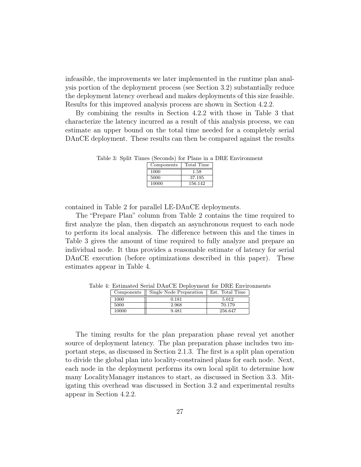infeasible, the improvements we later implemented in the runtime plan analysis portion of the deployment process (see Section 3.2) substantially reduce the deployment latency overhead and makes deployments of this size feasible. Results for this improved analysis process are shown in Section 4.2.2.

By combining the results in Section 4.2.2 with those in Table 3 that characterize the latency incurred as a result of this analysis process, we can estimate an upper bound on the total time needed for a completely serial DAnCE deployment. These results can then be compared against the results

Table 3: Split Times (Seconds) for Plans in a DRE Environment

| Components | Total Time |
|------------|------------|
| 1000       | 1.58       |
| 5000       | 37.195     |
| 10000      | 156.142    |

contained in Table 2 for parallel LE-DAnCE deployments.

The "Prepare Plan" column from Table 2 contains the time required to first analyze the plan, then dispatch an asynchronous request to each node to perform its local analysis. The difference between this and the times in Table 3 gives the amount of time required to fully analyze and prepare an individual node. It thus provides a reasonable estimate of latency for serial DAnCE execution (before optimizations described in this paper). These estimates appear in Table 4.

| Components | Single Node Preparation | Est. Total Time |
|------------|-------------------------|-----------------|
| 1000       | 0.181                   | 5.012           |
| 5000       | 2.968                   | 70.179          |
| 10000      | 9.481                   | 256.647         |

Table 4: Estimated Serial DAnCE Deployment for DRE Environments

The timing results for the plan preparation phase reveal yet another source of deployment latency. The plan preparation phase includes two important steps, as discussed in Section 2.1.3. The first is a split plan operation to divide the global plan into locality-constrained plans for each node. Next, each node in the deployment performs its own local split to determine how many LocalityManager instances to start, as discussed in Section 3.3. Mitigating this overhead was discussed in Section 3.2 and experimental results appear in Section 4.2.2.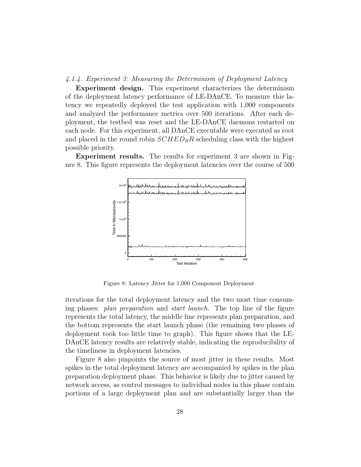#### *4.1.4. Experiment 3: Measuring the Determinism of Deployment Latency*

Experiment design. This experiment characterizes the determinism of the deployment latency performance of LE-DAnCE. To measure this latency we repeatedly deployed the test application with 1,000 components and analyzed the performance metrics over 500 iterations. After each deployment, the testbed was reset and the LE-DAnCE daemons restarted on each node. For this experiment, all DAnCE executable were executed as root and placed in the round robin  $SCHED<sub>R</sub>R$  scheduling class with the highest possible priority.

Experiment results. The results for experiment 3 are shown in Figure 8. This figure represents the deployment latencies over the course of 500



Figure 8: Latency Jitter for 1,000 Component Deployment

iterations for the total deployment latency and the two most time consuming phases: *plan preparation* and *start launch*. The top line of the figure represents the total latency, the middle line represents plan preparation, and the bottom represents the start launch phase (the remaining two phases of deployment took too little time to graph). This figure shows that the LE-DAnCE latency results are relatively stable, indicating the reproducibility of the timeliness in deployment latencies.

Figure 8 also pinpoints the source of most jitter in these results. Most spikes in the total deployment latency are accompanied by spikes in the plan preparation deployment phase. This behavior is likely due to jitter caused by network access, as control messages to individual nodes in this phase contain portions of a large deployment plan and are substantially larger than the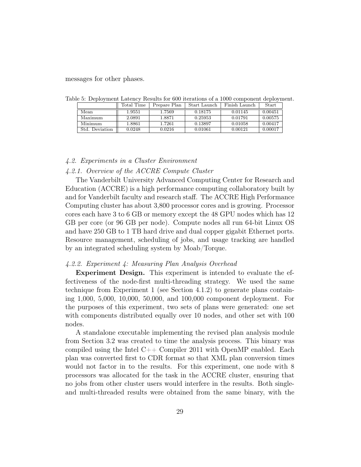messages for other phases.

Table 5: Deployment Latency Results for 600 iterations of a 1000 component deployment. Prepare Plan | Start Launch | Finish Launch Mean || 1.9551 || 1.7569 || 0.18175 || 0.01145 || 0.00451 Maximum || 2.0891 | 1.8871 | 0.25953 | 0.01791 | 0.00575

Minimum || 1.8861 | 1.7261 | 0.13897 | 0.01058 | 0.00417 Std. Deviation 0.0248 0.0216 0.01061 0.00121 0.00017

# *4.2. Experiments in a Cluster Environment*

#### *4.2.1. Overview of the ACCRE Compute Cluster*

The Vanderbilt University Advanced Computing Center for Research and Education (ACCRE) is a high performance computing collaboratory built by and for Vanderbilt faculty and research staff. The ACCRE High Performance Computing cluster has about 3,800 processor cores and is growing. Processor cores each have 3 to 6 GB or memory except the 48 GPU nodes which has 12 GB per core (or 96 GB per node). Compute nodes all run 64-bit Linux OS and have 250 GB to 1 TB hard drive and dual copper gigabit Ethernet ports. Resource management, scheduling of jobs, and usage tracking are handled by an integrated scheduling system by Moab/Torque.

# *4.2.2. Experiment 4: Measuring Plan Analysis Overhead*

Experiment Design. This experiment is intended to evaluate the effectiveness of the node-first multi-threading strategy. We used the same technique from Experiment 1 (see Section 4.1.2) to generate plans containing 1,000, 5,000, 10,000, 50,000, and 100,000 component deployment. For the purposes of this experiment, two sets of plans were generated: one set with components distributed equally over 10 nodes, and other set with 100 nodes.

A standalone executable implementing the revised plan analysis module from Section 3.2 was created to time the analysis process. This binary was compiled using the Intel  $C++$  Compiler 2011 with OpenMP enabled. Each plan was converted first to CDR format so that XML plan conversion times would not factor in to the results. For this experiment, one node with 8 processors was allocated for the task in the ACCRE cluster, ensuring that no jobs from other cluster users would interfere in the results. Both singleand multi-threaded results were obtained from the same binary, with the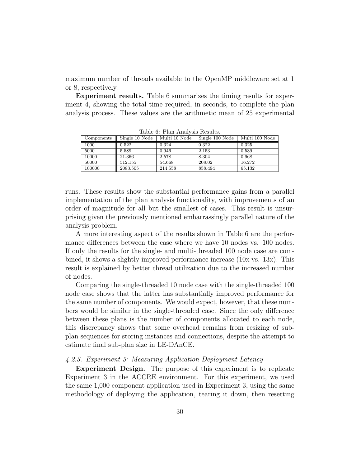maximum number of threads available to the OpenMP middleware set at 1 or 8, respectively.

Experiment results. Table 6 summarizes the timing results for experiment 4, showing the total time required, in seconds, to complete the plan analysis process. These values are the arithmetic mean of 25 experimental

| Components | Single 10 Node | Multi 10 Node | Single 100 Node | Multi 100 Node |  |  |
|------------|----------------|---------------|-----------------|----------------|--|--|
| 1000       | 0.522          | 0.324         | 0.322           | 0.325          |  |  |
| 5000       | 5.589          | 0.946         | 2.153           | 0.539          |  |  |
| 10000      | 21.366         | 2.578         | 8.304           | 0.968          |  |  |
| 50000      | 512.155        | 54.668        | 208.02          | 16.272         |  |  |
| 100000     | 2083.505       | 214.558       | 858.494         | 65.132         |  |  |

Table 6: Plan Analysis Results.

runs. These results show the substantial performance gains from a parallel implementation of the plan analysis functionality, with improvements of an order of magnitude for all but the smallest of cases. This result is unsurprising given the previously mentioned embarrassingly parallel nature of the analysis problem.

A more interesting aspect of the results shown in Table 6 are the performance differences between the case where we have 10 nodes vs. 100 nodes. If only the results for the single- and multi-threaded 100 node case are combined, it shows a slightly improved performance increase  $(10x \text{ vs. } 13x)$ . This result is explained by better thread utilization due to the increased number of nodes.

Comparing the single-threaded 10 node case with the single-threaded 100 node case shows that the latter has substantially improved performance for the same number of components. We would expect, however, that these numbers would be similar in the single-threaded case. Since the only difference between these plans is the number of components allocated to each node, this discrepancy shows that some overhead remains from resizing of subplan sequences for storing instances and connections, despite the attempt to estimate final sub-plan size in LE-DAnCE.

# *4.2.3. Experiment 5: Measuring Application Deployment Latency*

Experiment Design. The purpose of this experiment is to replicate Experiment 3 in the ACCRE environment. For this experiment, we used the same 1,000 component application used in Experiment 3, using the same methodology of deploying the application, tearing it down, then resetting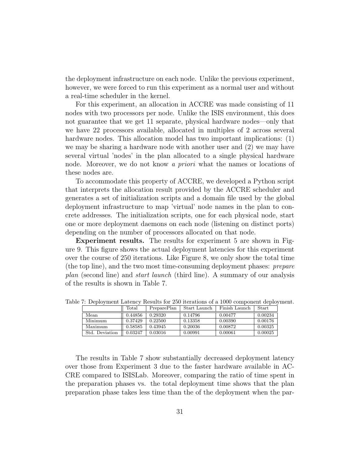the deployment infrastructure on each node. Unlike the previous experiment, however, we were forced to run this experiment as a normal user and without a real-time scheduler in the kernel.

For this experiment, an allocation in ACCRE was made consisting of 11 nodes with two processors per node. Unlike the ISIS environment, this does not guarantee that we get 11 separate, physical hardware nodes—only that we have 22 processors available, allocated in multiples of 2 across several hardware nodes. This allocation model has two important implications: (1) we may be sharing a hardware node with another user and (2) we may have several virtual 'nodes' in the plan allocated to a single physical hardware node. Moreover, we do not know *a priori* what the names or locations of these nodes are.

To accommodate this property of ACCRE, we developed a Python script that interprets the allocation result provided by the ACCRE scheduler and generates a set of initialization scripts and a domain file used by the global deployment infrastructure to map 'virtual' node names in the plan to concrete addresses. The initialization scripts, one for each physical node, start one or more deployment daemons on each node (listening on distinct ports) depending on the number of processors allocated on that node.

Experiment results. The results for experiment 5 are shown in Figure 9. This figure shows the actual deployment latencies for this experiment over the course of 250 iterations. Like Figure 8, we only show the total time (the top line), and the two most time-consuming deployment phases: *prepare plan* (second line) and *start launch* (third line). A summary of our analysis of the results is shown in Table 7.

|                | $_{\rm Total}$ | PreparePlan | Start Launch | Finish Launch | <b>Start</b> |
|----------------|----------------|-------------|--------------|---------------|--------------|
| Mean           | 0.44856        | 0.29320     | 0.14796      | 0.00477       | 0.00234      |
| Minimum        | 0.37429        | 0.22500     | 0.13358      | 0.00390       | 0.00176      |
| Maximum        | 0.58585        | 0.43945     | 0.20036      | 0.00872       | 0.00325      |
| Std. Deviation | 0.03247        | 0.03016     | 0.00991      | 0.00061       | 0.00025      |

Table 7: Deployment Latency Results for 250 iterations of a 1000 component deployment.

The results in Table 7 show substantially decreased deployment latency over those from Experiment 3 due to the faster hardware available in AC-CRE compared to ISISLab. Moreover, comparing the ratio of time spent in the preparation phases vs. the total deployment time shows that the plan preparation phase takes less time than the of the deployment when the par-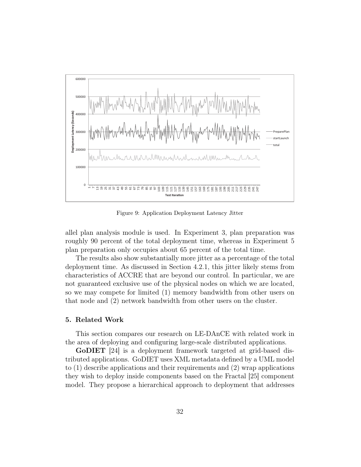

Figure 9: Application Deployment Latency Jitter

allel plan analysis module is used. In Experiment 3, plan preparation was roughly 90 percent of the total deployment time, whereas in Experiment 5 plan preparation only occupies about 65 percent of the total time.

The results also show substantially more jitter as a percentage of the total deployment time. As discussed in Section 4.2.1, this jitter likely stems from characteristics of ACCRE that are beyond our control. In particular, we are not guaranteed exclusive use of the physical nodes on which we are located, so we may compete for limited (1) memory bandwidth from other users on that node and (2) network bandwidth from other users on the cluster.

# 5. Related Work

This section compares our research on LE-DAnCE with related work in the area of deploying and configuring large-scale distributed applications.

GoDIET [24] is a deployment framework targeted at grid-based distributed applications. GoDIET uses XML metadata defined by a UML model to (1) describe applications and their requirements and (2) wrap applications they wish to deploy inside components based on the Fractal [25] component model. They propose a hierarchical approach to deployment that addresses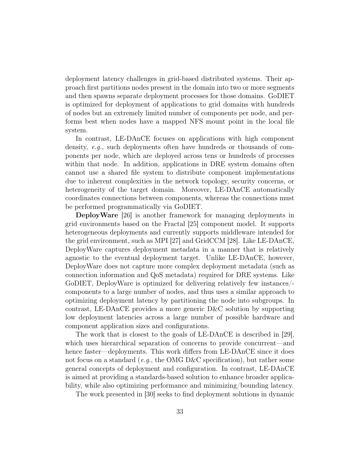deployment latency challenges in grid-based distributed systems. Their approach first partitions nodes present in the domain into two or more segments and then spawns separate deployment processes for those domains. GoDIET is optimized for deployment of applications to grid domains with hundreds of nodes but an extremely limited number of components per node, and performs best when nodes have a mapped NFS mount point in the local file system.

In contrast, LE-DAnCE focuses on applications with high component density, *e.g.*, such deployments often have hundreds or thousands of components per node, which are deployed across tens or hundreds of processes within that node. In addition, applications in DRE system domains often cannot use a shared file system to distribute component implementations due to inherent complexities in the network topology, security concerns, or heterogeneity of the target domain. Moreover, LE-DAnCE automatically coordinates connections between components, whereas the connections must be performed programmatically via GoDIET.

DeployWare [26] is another framework for managing deployments in grid environments based on the Fractal [25] component model. It supports heterogeneous deployments and currently supports middleware intended for the grid environment, such as MPI [27] and GridCCM [28]. Like LE-DAnCE, DeployWare captures deployment metadata in a manner that is relatively agnostic to the eventual deployment target. Unlike LE-DAnCE, however, DeployWare does not capture more complex deployment metadata (such as connection information and QoS metadata) required for DRE systems. Like GoDIET, DeployWare is optimized for delivering relatively few instances/ components to a large number of nodes, and thus uses a similar approach to optimizing deployment latency by partitioning the node into subgroups. In contrast, LE-DAnCE provides a more generic D&C solution by supporting low deployment latencies across a large number of possible hardware and component application sizes and configurations.

The work that is closest to the goals of LE-DAnCE is described in [29], which uses hierarchical separation of concerns to provide concurrent—and hence faster—deployments. This work differs from LE-DAnCE since it does not focus on a standard (*e.g.*, the OMG D&C specification), but rather some general concepts of deployment and configuration. In contrast, LE-DAnCE is aimed at providing a standards-based solution to enhance broader applicability, while also optimizing performance and minimizing/bounding latency.

The work presented in [30] seeks to find deployment solutions in dynamic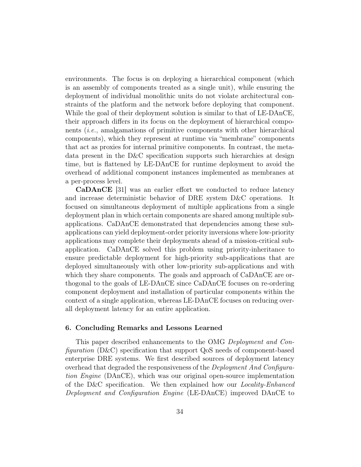environments. The focus is on deploying a hierarchical component (which is an assembly of components treated as a single unit), while ensuring the deployment of individual monolithic units do not violate architectural constraints of the platform and the network before deploying that component. While the goal of their deployment solution is similar to that of LE-DAnCE, their approach differs in its focus on the deployment of hierarchical components (*i.e.*, amalgamations of primitive components with other hierarchical components), which they represent at runtime via "membrane" components that act as proxies for internal primitive components. In contrast, the metadata present in the D&C specification supports such hierarchies at design time, but is flattened by LE-DAnCE for runtime deployment to avoid the overhead of additional component instances implemented as membranes at a per-process level.

CaDAnCE [31] was an earlier effort we conducted to reduce latency and increase deterministic behavior of DRE system D&C operations. It focused on simultaneous deployment of multiple applications from a single deployment plan in which certain components are shared among multiple subapplications. CaDAnCE demonstrated that dependencies among these subapplications can yield deployment-order priority inversions where low-priority applications may complete their deployments ahead of a mission-critical subapplication. CaDAnCE solved this problem using priority-inheritance to ensure predictable deployment for high-priority sub-applications that are deployed simultaneously with other low-priority sub-applications and with which they share components. The goals and approach of CaDAnCE are orthogonal to the goals of LE-DAnCE since CaDAnCE focuses on re-ordering component deployment and installation of particular components within the context of a single application, whereas LE-DAnCE focuses on reducing overall deployment latency for an entire application.

#### 6. Concluding Remarks and Lessons Learned

This paper described enhancements to the OMG *Deployment and Configuration* (D&C) specification that support QoS needs of component-based enterprise DRE systems. We first described sources of deployment latency overhead that degraded the responsiveness of the *Deployment And Configuration Engine* (DAnCE), which was our original open-source implementation of the D&C specification. We then explained how our *Locality-Enhanced Deployment and Configuration Engine* (LE-DAnCE) improved DAnCE to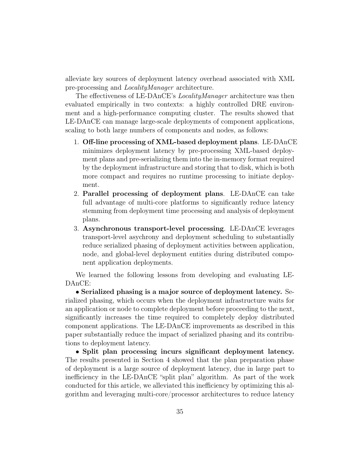alleviate key sources of deployment latency overhead associated with XML pre-processing and *LocalityManager* architecture.

The effectiveness of LE-DAnCE's *LocalityManager* architecture was then evaluated empirically in two contexts: a highly controlled DRE environment and a high-performance computing cluster. The results showed that LE-DAnCE can manage large-scale deployments of component applications, scaling to both large numbers of components and nodes, as follows:

- 1. Off-line processing of XML-based deployment plans. LE-DAnCE minimizes deployment latency by pre-processing XML-based deployment plans and pre-serializing them into the in-memory format required by the deployment infrastructure and storing that to disk, which is both more compact and requires no runtime processing to initiate deployment.
- 2. Parallel processing of deployment plans. LE-DAnCE can take full advantage of multi-core platforms to significantly reduce latency stemming from deployment time processing and analysis of deployment plans.
- 3. Asynchronous transport-level processing. LE-DAnCE leverages transport-level asychrony and deployment scheduling to substantially reduce serialized phasing of deployment activities between application, node, and global-level deployment entities during distributed component application deployments.

We learned the following lessons from developing and evaluating LE-DAnCE:

• Serialized phasing is a major source of deployment latency. Serialized phasing, which occurs when the deployment infrastructure waits for an application or node to complete deployment before proceeding to the next, significantly increases the time required to completely deploy distributed component applications. The LE-DAnCE improvements as described in this paper substantially reduce the impact of serialized phasing and its contributions to deployment latency.

• Split plan processing incurs significant deployment latency. The results presented in Section 4 showed that the plan preparation phase of deployment is a large source of deployment latency, due in large part to inefficiency in the LE-DAnCE "split plan" algorithm. As part of the work conducted for this article, we alleviated this inefficiency by optimizing this algorithm and leveraging multi-core/processor architectures to reduce latency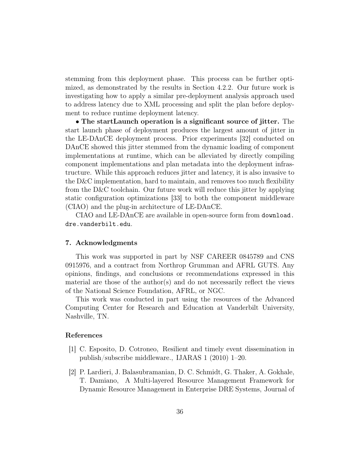stemming from this deployment phase. This process can be further optimized, as demonstrated by the results in Section 4.2.2. Our future work is investigating how to apply a similar pre-deployment analysis approach used to address latency due to XML processing and split the plan before deployment to reduce runtime deployment latency.

• The startLaunch operation is a significant source of jitter. The start launch phase of deployment produces the largest amount of jitter in the LE-DAnCE deployment process. Prior experiments [32] conducted on DAnCE showed this jitter stemmed from the dynamic loading of component implementations at runtime, which can be alleviated by directly compiling component implementations and plan metadata into the deployment infrastructure. While this approach reduces jitter and latency, it is also invasive to the D&C implementation, hard to maintain, and removes too much flexibility from the D&C toolchain. Our future work will reduce this jitter by applying static configuration optimizations [33] to both the component middleware (CIAO) and the plug-in architecture of LE-DAnCE.

CIAO and LE-DAnCE are available in open-source form from download. dre.vanderbilt.edu.

#### 7. Acknowledgments

This work was supported in part by NSF CAREER 0845789 and CNS 0915976, and a contract from Northrop Grumman and AFRL GUTS. Any opinions, findings, and conclusions or recommendations expressed in this material are those of the author(s) and do not necessarily reflect the views of the National Science Foundation, AFRL, or NGC.

This work was conducted in part using the resources of the Advanced Computing Center for Research and Education at Vanderbilt University, Nashville, TN.

## References

- [1] C. Esposito, D. Cotroneo, Resilient and timely event dissemination in publish/subscribe middleware., IJARAS 1 (2010) 1–20.
- [2] P. Lardieri, J. Balasubramanian, D. C. Schmidt, G. Thaker, A. Gokhale, T. Damiano, A Multi-layered Resource Management Framework for Dynamic Resource Management in Enterprise DRE Systems, Journal of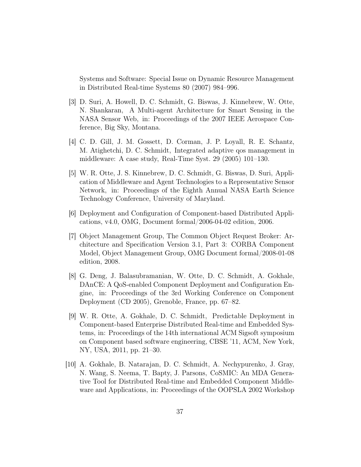Systems and Software: Special Issue on Dynamic Resource Management in Distributed Real-time Systems 80 (2007) 984–996.

- [3] D. Suri, A. Howell, D. C. Schmidt, G. Biswas, J. Kinnebrew, W. Otte, N. Shankaran, A Multi-agent Architecture for Smart Sensing in the NASA Sensor Web, in: Proceedings of the 2007 IEEE Aerospace Conference, Big Sky, Montana.
- [4] C. D. Gill, J. M. Gossett, D. Corman, J. P. Loyall, R. E. Schantz, M. Atighetchi, D. C. Schmidt, Integrated adaptive qos management in middleware: A case study, Real-Time Syst. 29 (2005) 101–130.
- [5] W. R. Otte, J. S. Kinnebrew, D. C. Schmidt, G. Biswas, D. Suri, Application of Middleware and Agent Technologies to a Representative Sensor Network, in: Proceedings of the Eighth Annual NASA Earth Science Technology Conference, University of Maryland.
- [6] Deployment and Configuration of Component-based Distributed Applications, v4.0, OMG, Document formal/2006-04-02 edition, 2006.
- [7] Object Management Group, The Common Object Request Broker: Architecture and Specification Version 3.1, Part 3: CORBA Component Model, Object Management Group, OMG Document formal/2008-01-08 edition, 2008.
- [8] G. Deng, J. Balasubramanian, W. Otte, D. C. Schmidt, A. Gokhale, DAnCE: A QoS-enabled Component Deployment and Configuration Engine, in: Proceedings of the 3rd Working Conference on Component Deployment (CD 2005), Grenoble, France, pp. 67–82.
- [9] W. R. Otte, A. Gokhale, D. C. Schmidt, Predictable Deployment in Component-based Enterprise Distributed Real-time and Embedded Systems, in: Proceedings of the 14th international ACM Sigsoft symposium on Component based software engineering, CBSE '11, ACM, New York, NY, USA, 2011, pp. 21–30.
- [10] A. Gokhale, B. Natarajan, D. C. Schmidt, A. Nechypurenko, J. Gray, N. Wang, S. Neema, T. Bapty, J. Parsons, CoSMIC: An MDA Generative Tool for Distributed Real-time and Embedded Component Middleware and Applications, in: Proceedings of the OOPSLA 2002 Workshop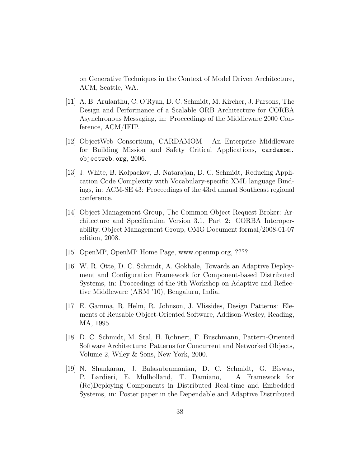on Generative Techniques in the Context of Model Driven Architecture, ACM, Seattle, WA.

- [11] A. B. Arulanthu, C. O'Ryan, D. C. Schmidt, M. Kircher, J. Parsons, The Design and Performance of a Scalable ORB Architecture for CORBA Asynchronous Messaging, in: Proceedings of the Middleware 2000 Conference, ACM/IFIP.
- [12] ObjectWeb Consortium, CARDAMOM An Enterprise Middleware for Building Mission and Safety Critical Applications, cardamom. objectweb.org, 2006.
- [13] J. White, B. Kolpackov, B. Natarajan, D. C. Schmidt, Reducing Application Code Complexity with Vocabulary-specific XML language Bindings, in: ACM-SE 43: Proceedings of the 43rd annual Southeast regional conference.
- [14] Object Management Group, The Common Object Request Broker: Architecture and Specification Version 3.1, Part 2: CORBA Interoperability, Object Management Group, OMG Document formal/2008-01-07 edition, 2008.
- [15] OpenMP, OpenMP Home Page, www.openmp.org, ????
- [16] W. R. Otte, D. C. Schmidt, A. Gokhale, Towards an Adaptive Deployment and Configuration Framework for Component-based Distributed Systems, in: Proceedings of the 9th Workshop on Adaptive and Reflective Middleware (ARM '10), Bengaluru, India.
- [17] E. Gamma, R. Helm, R. Johnson, J. Vlissides, Design Patterns: Elements of Reusable Object-Oriented Software, Addison-Wesley, Reading, MA, 1995.
- [18] D. C. Schmidt, M. Stal, H. Rohnert, F. Buschmann, Pattern-Oriented Software Architecture: Patterns for Concurrent and Networked Objects, Volume 2, Wiley & Sons, New York, 2000.
- [19] N. Shankaran, J. Balasubramanian, D. C. Schmidt, G. Biswas, P. Lardieri, E. Mulholland, T. Damiano, A Framework for (Re)Deploying Components in Distributed Real-time and Embedded Systems, in: Poster paper in the Dependable and Adaptive Distributed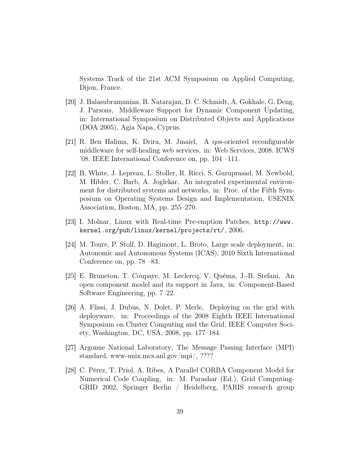Systems Track of the 21st ACM Symposium on Applied Computing, Dijon, France.

- [20] J. Balasubramanian, B. Natarajan, D. C. Schmidt, A. Gokhale, G. Deng, J. Parsons, Middleware Support for Dynamic Component Updating, in: International Symposium on Distributed Objects and Applications (DOA 2005), Agia Napa, Cyprus.
- [21] R. Ben Halima, K. Drira, M. Jmaiel, A qos-oriented reconfigurable middleware for self-healing web services, in: Web Services, 2008. ICWS '08. IEEE International Conference on, pp. 104 –111.
- [22] B. White, J. Lepreau, L. Stoller, R. Ricci, S. Guruprasad, M. Newbold, M. Hibler, C. Barb, A. Joglekar, An integrated experimental environment for distributed systems and networks, in: Proc. of the Fifth Symposium on Operating Systems Design and Implementation, USENIX Association, Boston, MA, pp. 255–270.
- [23] I. Molnar, Linux with Real-time Pre-emption Patches, http://www. kernel.org/pub/linux/kernel/projects/rt/, 2006.
- [24] M. Toure, P. Stolf, D. Hagimont, L. Broto, Large scale deployment, in: Autonomic and Autonomous Systems (ICAS), 2010 Sixth International Conference on, pp. 78 –83.
- [25] E. Bruneton, T. Coupaye, M. Leclercq, V. Quéma, J.-B. Stefani, An open component model and its support in Java, in: Component-Based Software Engineering, pp. 7–22.
- [26] A. Flissi, J. Dubus, N. Dolet, P. Merle, Deploying on the grid with deployware, in: Proceedings of the 2008 Eighth IEEE International Symposium on Cluster Computing and the Grid, IEEE Computer Society, Washington, DC, USA, 2008, pp. 177–184.
- [27] Argonne National Laboratory, The Message Passing Interface (MPI) standard, www-unix.mcs.anl.gov/mpi/, ????
- [28] C. Pérez, T. Priol, A. Ribes, A Parallel CORBA Component Model for Numerical Code Coupling, in: M. Parashar (Ed.), Grid Computing-GRID 2002, Springer Berlin / Heidelberg, PARIS research group